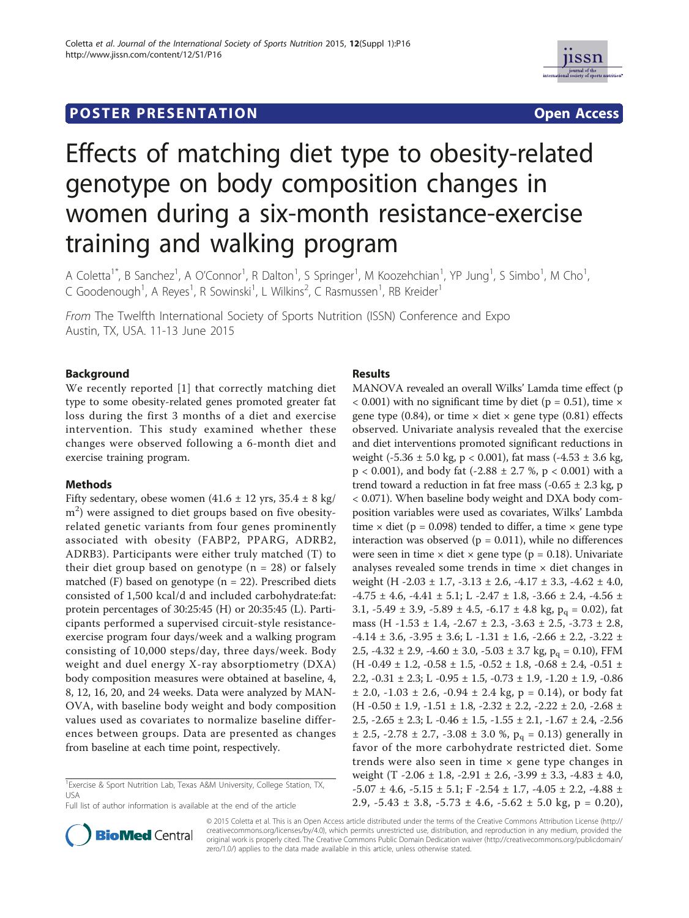# **POSTER PRESENTATION CONSUMING THE SECOND CONSUMING THE SECOND CONSUMING THE SECOND CONSUMING THE SECOND CONSUMING THE SECOND CONSUMING THE SECOND CONSUMING THE SECOND CONSUMING THE SECOND CONSUMING THE SECOND CONSUMING**



ISSI

# Effects of matching diet type to obesity-related genotype on body composition changes in women during a six-month resistance-exercise training and walking program

A Coletta<sup>1\*</sup>, B Sanchez<sup>1</sup>, A O'Connor<sup>1</sup>, R Dalton<sup>1</sup>, S Springer<sup>1</sup>, M Koozehchian<sup>1</sup>, YP Jung<sup>1</sup>, S Simbo<sup>1</sup>, M Cho<sup>1</sup> , C Goodenough<sup>1</sup>, A Reyes<sup>1</sup>, R Sowinski<sup>1</sup>, L Wilkins<sup>2</sup>, C Rasmussen<sup>1</sup>, RB Kreider<sup>1</sup>

From The Twelfth International Society of Sports Nutrition (ISSN) Conference and Expo Austin, TX, USA. 11-13 June 2015

# Background

We recently reported [1] that correctly matching diet type to some obesity-related genes promoted greater fat loss during the first 3 months of a diet and exercise intervention. This study examined whether these changes were observed following a 6-month diet and exercise training program.

# Methods

Fifty sedentary, obese women  $(41.6 \pm 12 \text{ yrs}, 35.4 \pm 8 \text{ kg})$ m<sup>2</sup>) were assigned to diet groups based on five obesityrelated genetic variants from four genes prominently associated with obesity (FABP2, PPARG, ADRB2, ADRB3). Participants were either truly matched (T) to their diet group based on genotype  $(n = 28)$  or falsely matched  $(F)$  based on genotype  $(n = 22)$ . Prescribed diets consisted of 1,500 kcal/d and included carbohydrate:fat: protein percentages of 30:25:45 (H) or 20:35:45 (L). Participants performed a supervised circuit-style resistanceexercise program four days/week and a walking program consisting of 10,000 steps/day, three days/week. Body weight and duel energy X-ray absorptiometry (DXA) body composition measures were obtained at baseline, 4, 8, 12, 16, 20, and 24 weeks. Data were analyzed by MAN-OVA, with baseline body weight and body composition values used as covariates to normalize baseline differences between groups. Data are presented as changes from baseline at each time point, respectively.

<sup>1</sup> Exercise & Sport Nutrition Lab, Texas A&M University, College Station, TX, USA



MANOVA revealed an overall Wilks' Lamda time effect (p  $<$  0.001) with no significant time by diet (p = 0.51), time  $\times$ gene type (0.84), or time  $\times$  diet  $\times$  gene type (0.81) effects observed. Univariate analysis revealed that the exercise and diet interventions promoted significant reductions in weight (-5.36  $\pm$  5.0 kg, p < 0.001), fat mass (-4.53  $\pm$  3.6 kg,  $p < 0.001$ ), and body fat (-2.88  $\pm$  2.7 %, p < 0.001) with a trend toward a reduction in fat free mass  $(-0.65 \pm 2.3 \text{ kg}, \text{p})$ < 0.071). When baseline body weight and DXA body composition variables were used as covariates, Wilks' Lambda time  $\times$  diet (p = 0.098) tended to differ, a time  $\times$  gene type interaction was observed ( $p = 0.011$ ), while no differences were seen in time  $\times$  diet  $\times$  gene type (p = 0.18). Univariate analyses revealed some trends in time  $\times$  diet changes in weight (H  $-2.03 \pm 1.7$ ,  $-3.13 \pm 2.6$ ,  $-4.17 \pm 3.3$ ,  $-4.62 \pm 4.0$ ,  $-4.75 \pm 4.6$ ,  $-4.41 \pm 5.1$ ; L $-2.47 \pm 1.8$ ,  $-3.66 \pm 2.4$ ,  $-4.56 \pm 1.4$ 3.1,  $-5.49 \pm 3.9$ ,  $-5.89 \pm 4.5$ ,  $-6.17 \pm 4.8$  kg,  $p_q = 0.02$ ), fat mass (H -1.53 ± 1.4, -2.67 ± 2.3, -3.63 ± 2.5, -3.73 ± 2.8,  $-4.14 \pm 3.6$ ,  $-3.95 \pm 3.6$ ; L $-1.31 \pm 1.6$ ,  $-2.66 \pm 2.2$ ,  $-3.22 \pm 1.6$ 2.5, -4.32  $\pm$  2.9, -4.60  $\pm$  3.0, -5.03  $\pm$  3.7 kg, p<sub>q</sub> = 0.10), FFM (H -0.49  $\pm$  1.2, -0.58  $\pm$  1.5, -0.52  $\pm$  1.8, -0.68  $\pm$  2.4, -0.51  $\pm$ 2.2,  $-0.31 \pm 2.3$ ; L $-0.95 \pm 1.5$ ,  $-0.73 \pm 1.9$ ,  $-1.20 \pm 1.9$ ,  $-0.86$  $\pm$  2.0, -1.03  $\pm$  2.6, -0.94  $\pm$  2.4 kg, p = 0.14), or body fat  $(H -0.50 \pm 1.9, -1.51 \pm 1.8, -2.32 \pm 2.2, -2.22 \pm 2.0, -2.68 \pm 1.0)$ 2.5, -2.65 ± 2.3; L -0.46 ± 1.5, -1.55 ± 2.1, -1.67 ± 2.4, -2.56  $\pm$  2.5, -2.78  $\pm$  2.7, -3.08  $\pm$  3.0 %, p<sub>q</sub> = 0.13) generally in favor of the more carbohydrate restricted diet. Some trends were also seen in time × gene type changes in weight (T  $-2.06 \pm 1.8$ ,  $-2.91 \pm 2.6$ ,  $-3.99 \pm 3.3$ ,  $-4.83 \pm 4.0$ ,  $-5.07 \pm 4.6$ ,  $-5.15 \pm 5.1$ ; F $-2.54 \pm 1.7$ ,  $-4.05 \pm 2.2$ ,  $-4.88 \pm 1.7$ 2.9,  $-5.43 \pm 3.8$ ,  $-5.73 \pm 4.6$ ,  $-5.62 \pm 5.0$  kg, p = 0.20),



© 2015 Coletta et al. This is an Open Access article distributed under the terms of the Creative Commons Attribution License (http:// creativecommons.org/licenses/by/4.0), which permits unrestricted use, distribution, and reproduction in any medium, provided the original work is properly cited. The Creative Commons Public Domain Dedication waiver (http://creativecommons.org/publicdomain/ zero/1.0/) applies to the data made available in this article, unless otherwise stated.

Full list of author information is available at the end of the article